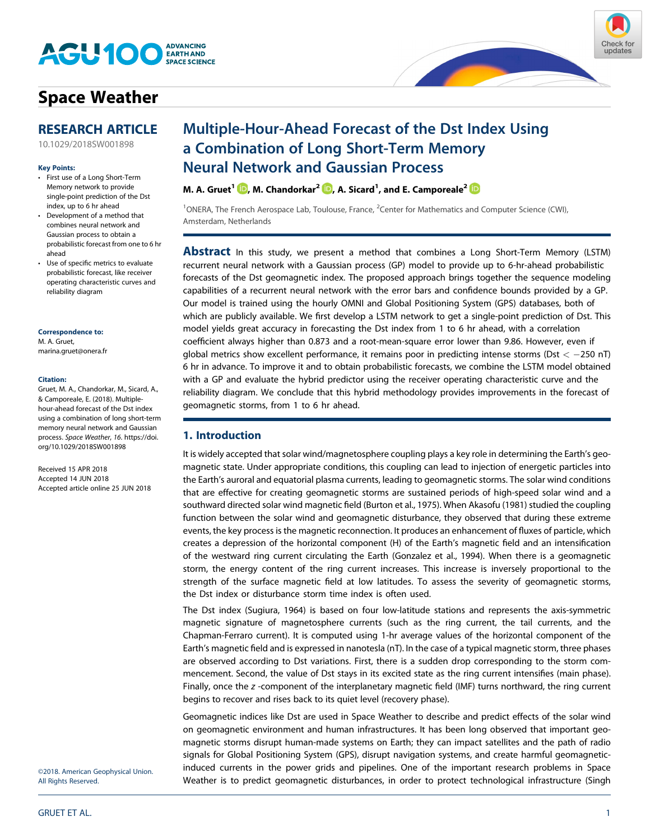

# **[Space Weather](http://onlinelibrary.wiley.com/journal/10.1002/(ISSN)1542-7390)**



#### **Key Points:**

- First use of a Long Short-Term Memory network to provide single-point prediction of the Dst index, up to 6 hr ahead
- Development of a method that combines neural network and Gaussian process to obtain a probabilistic forecast from one to 6 hr ahead
- Use of specific metrics to evaluate probabilistic forecast, like receiver operating characteristic curves and reliability diagram

#### **Correspondence to:**

M. A. Gruet, [marina.gruet@onera.fr](mailto:marina.gruet@onera.fr)

#### **Citation:**

Gruet, M. A., Chandorkar, M., Sicard, A., & Camporeale, E. (2018). Multiplehour-ahead forecast of the Dst index using a combination of long short-term memory neural network and Gaussian process. *Space Weather*, *16*. [https://doi.](https://doi.org/10.1029/2018SW001898) [org/10.1029/2018SW001898](https://doi.org/10.1029/2018SW001898)

Received 15 APR 2018 Accepted 14 JUN 2018 Accepted article online 25 JUN 2018

[10.1029/2018SW001898](http://dx.doi.org/10.1029/2018SW001898)

# Multiple-Hour-Ahead Forecast of the Dst Index Using a Combination of Long Short-Term Memory Neural Network and Gaussian Process

**M. A. Gruet** $^1$  $\blacksquare$ **, M. Chandorkar** $^2$  $\blacksquare$ **, A. Sicard** $^1$ **, and E. Camporeale** $^2$ 

<sup>1</sup>ONERA, The French Aerospace Lab, Toulouse, France, <sup>2</sup>Center for Mathematics and Computer Science (CWI), Amsterdam, Netherlands

**Abstract** In this study, we present a method that combines a Long Short-Term Memory (LSTM) recurrent neural network with a Gaussian process (GP) model to provide up to 6-hr-ahead probabilistic forecasts of the Dst geomagnetic index. The proposed approach brings together the sequence modeling capabilities of a recurrent neural network with the error bars and confidence bounds provided by a GP. Our model is trained using the hourly OMNI and Global Positioning System (GPS) databases, both of which are publicly available. We first develop a LSTM network to get a single-point prediction of Dst. This model yields great accuracy in forecasting the Dst index from 1 to 6 hr ahead, with a correlation coefficient always higher than 0.873 and a root-mean-square error lower than 9.86. However, even if global metrics show excellent performance, it remains poor in predicting intense storms (Dst *<* 250 nT) 6 hr in advance. To improve it and to obtain probabilistic forecasts, we combine the LSTM model obtained with a GP and evaluate the hybrid predictor using the receiver operating characteristic curve and the reliability diagram. We conclude that this hybrid methodology provides improvements in the forecast of geomagnetic storms, from 1 to 6 hr ahead.

### **1. Introduction**

It is widely accepted that solar wind/magnetosphere coupling plays a key role in determining the Earth's geomagnetic state. Under appropriate conditions, this coupling can lead to injection of energetic particles into the Earth's auroral and equatorial plasma currents, leading to geomagnetic storms. The solar wind conditions that are effective for creating geomagnetic storms are sustained periods of high-speed solar wind and a southward directed solar wind magnetic field (Burton et al., 1975). When Akasofu (1981) studied the coupling function between the solar wind and geomagnetic disturbance, they observed that during these extreme events, the key process is the magnetic reconnection. It produces an enhancement of fluxes of particle, which creates a depression of the horizontal component (H) of the Earth's magnetic field and an intensification of the westward ring current circulating the Earth (Gonzalez et al., 1994). When there is a geomagnetic storm, the energy content of the ring current increases. This increase is inversely proportional to the strength of the surface magnetic field at low latitudes. To assess the severity of geomagnetic storms, the Dst index or disturbance storm time index is often used.

The Dst index (Sugiura, 1964) is based on four low-latitude stations and represents the axis-symmetric magnetic signature of magnetosphere currents (such as the ring current, the tail currents, and the Chapman-Ferraro current). It is computed using 1-hr average values of the horizontal component of the Earth's magnetic field and is expressed in nanotesla (nT). In the case of a typical magnetic storm, three phases are observed according to Dst variations. First, there is a sudden drop corresponding to the storm commencement. Second, the value of Dst stays in its excited state as the ring current intensifies (main phase). Finally, once the *z* -component of the interplanetary magnetic field (IMF) turns northward, the ring current begins to recover and rises back to its quiet level (recovery phase).

Geomagnetic indices like Dst are used in Space Weather to describe and predict effects of the solar wind on geomagnetic environment and human infrastructures. It has been long observed that important geomagnetic storms disrupt human-made systems on Earth; they can impact satellites and the path of radio signals for Global Positioning System (GPS), disrupt navigation systems, and create harmful geomagneticinduced currents in the power grids and pipelines. One of the important research problems in Space Weather is to predict geomagnetic disturbances, in order to protect technological infrastructure (Singh

©2018. American Geophysical Union. All Rights Reserved.

Check for

updates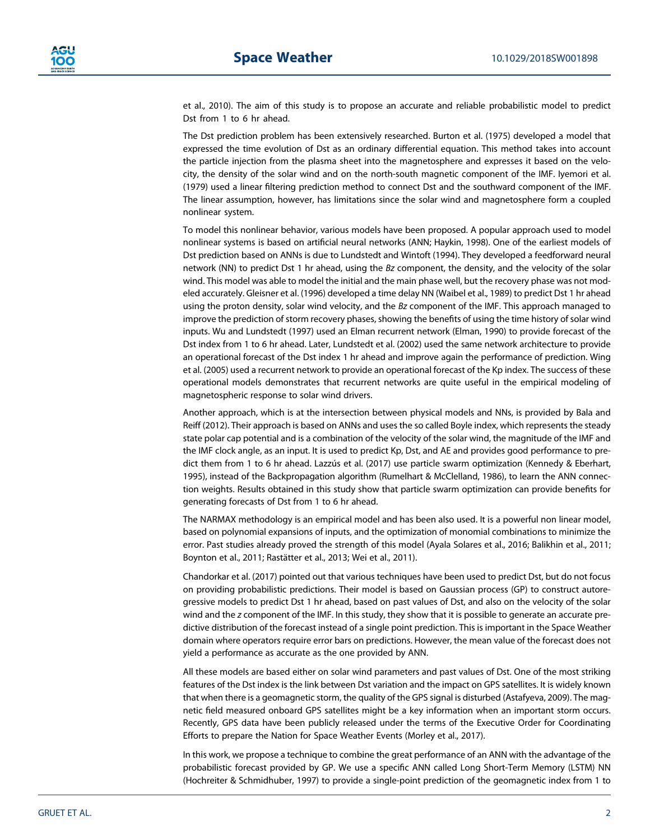et al., 2010). The aim of this study is to propose an accurate and reliable probabilistic model to predict Dst from 1 to 6 hr ahead.

The Dst prediction problem has been extensively researched. Burton et al. (1975) developed a model that expressed the time evolution of Dst as an ordinary differential equation. This method takes into account the particle injection from the plasma sheet into the magnetosphere and expresses it based on the velocity, the density of the solar wind and on the north-south magnetic component of the IMF. Iyemori et al. (1979) used a linear filtering prediction method to connect Dst and the southward component of the IMF. The linear assumption, however, has limitations since the solar wind and magnetosphere form a coupled nonlinear system.

To model this nonlinear behavior, various models have been proposed. A popular approach used to model nonlinear systems is based on artificial neural networks (ANN; Haykin, 1998). One of the earliest models of Dst prediction based on ANNs is due to Lundstedt and Wintoft (1994). They developed a feedforward neural network (NN) to predict Dst 1 hr ahead, using the *Bz* component, the density, and the velocity of the solar wind. This model was able to model the initial and the main phase well, but the recovery phase was not modeled accurately. Gleisner et al. (1996) developed a time delay NN (Waibel et al., 1989) to predict Dst 1 hr ahead using the proton density, solar wind velocity, and the *Bz* component of the IMF. This approach managed to improve the prediction of storm recovery phases, showing the benefits of using the time history of solar wind inputs. Wu and Lundstedt (1997) used an Elman recurrent network (Elman, 1990) to provide forecast of the Dst index from 1 to 6 hr ahead. Later, Lundstedt et al. (2002) used the same network architecture to provide an operational forecast of the Dst index 1 hr ahead and improve again the performance of prediction. Wing et al. (2005) used a recurrent network to provide an operational forecast of the Kp index. The success of these operational models demonstrates that recurrent networks are quite useful in the empirical modeling of magnetospheric response to solar wind drivers.

Another approach, which is at the intersection between physical models and NNs, is provided by Bala and Reiff (2012). Their approach is based on ANNs and uses the so called Boyle index, which represents the steady state polar cap potential and is a combination of the velocity of the solar wind, the magnitude of the IMF and the IMF clock angle, as an input. It is used to predict Kp, Dst, and AE and provides good performance to predict them from 1 to 6 hr ahead. Lazzús et al. (2017) use particle swarm optimization (Kennedy & Eberhart, 1995), instead of the Backpropagation algorithm (Rumelhart & McClelland, 1986), to learn the ANN connection weights. Results obtained in this study show that particle swarm optimization can provide benefits for generating forecasts of Dst from 1 to 6 hr ahead.

The NARMAX methodology is an empirical model and has been also used. It is a powerful non linear model, based on polynomial expansions of inputs, and the optimization of monomial combinations to minimize the error. Past studies already proved the strength of this model (Ayala Solares et al., 2016; Balikhin et al., 2011; Boynton et al., 2011; Rastätter et al., 2013; Wei et al., 2011).

Chandorkar et al. (2017) pointed out that various techniques have been used to predict Dst, but do not focus on providing probabilistic predictions. Their model is based on Gaussian process (GP) to construct autoregressive models to predict Dst 1 hr ahead, based on past values of Dst, and also on the velocity of the solar wind and the *z* component of the IMF. In this study, they show that it is possible to generate an accurate predictive distribution of the forecast instead of a single point prediction. This is important in the Space Weather domain where operators require error bars on predictions. However, the mean value of the forecast does not yield a performance as accurate as the one provided by ANN.

All these models are based either on solar wind parameters and past values of Dst. One of the most striking features of the Dst index is the link between Dst variation and the impact on GPS satellites. It is widely known that when there is a geomagnetic storm, the quality of the GPS signal is disturbed (Astafyeva, 2009). The magnetic field measured onboard GPS satellites might be a key information when an important storm occurs. Recently, GPS data have been publicly released under the terms of the Executive Order for Coordinating Efforts to prepare the Nation for Space Weather Events (Morley et al., 2017).

In this work, we propose a technique to combine the great performance of an ANN with the advantage of the probabilistic forecast provided by GP. We use a specific ANN called Long Short-Term Memory (LSTM) NN (Hochreiter & Schmidhuber, 1997) to provide a single-point prediction of the geomagnetic index from 1 to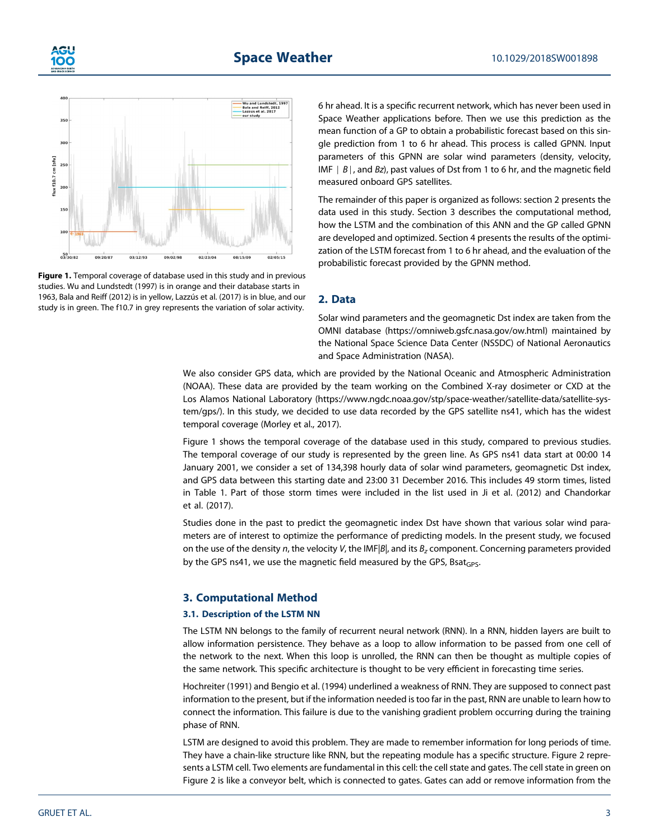



**Figure 1.** Temporal coverage of database used in this study and in previous studies. Wu and Lundstedt (1997) is in orange and their database starts in 1963, Bala and Reiff (2012) is in yellow, Lazzús et al. (2017) is in blue, and our study is in green. The f10.7 in grey represents the variation of solar activity.

6 hr ahead. It is a specific recurrent network, which has never been used in Space Weather applications before. Then we use this prediction as the mean function of a GP to obtain a probabilistic forecast based on this single prediction from 1 to 6 hr ahead. This process is called GPNN. Input parameters of this GPNN are solar wind parameters (density, velocity, IMF ∣ *B*∣, and *Bz*), past values of Dst from 1 to 6 hr, and the magnetic field measured onboard GPS satellites.

The remainder of this paper is organized as follows: section 2 presents the data used in this study. Section 3 describes the computational method, how the LSTM and the combination of this ANN and the GP called GPNN are developed and optimized. Section 4 presents the results of the optimization of the LSTM forecast from 1 to 6 hr ahead, and the evaluation of the probabilistic forecast provided by the GPNN method.

#### **2. Data**

Solar wind parameters and the geomagnetic Dst index are taken from the OMNI database [\(https://omniweb.gsfc.nasa.gov/ow.html\)](https://omniweb.gsfc.nasa.gov/ow.html) maintained by the National Space Science Data Center (NSSDC) of National Aeronautics and Space Administration (NASA).

We also consider GPS data, which are provided by the National Oceanic and Atmospheric Administration (NOAA). These data are provided by the team working on the Combined X-ray dosimeter or CXD at the Los Alamos National Laboratory ([https://www.ngdc.noaa.gov/stp/space-weather/satellite-data/satellite-sys](https://www.ngdc.noaa.gov/stp/space-weather/satellite-data/satellite-system/gps/)[tem/gps/\)](https://www.ngdc.noaa.gov/stp/space-weather/satellite-data/satellite-system/gps/). In this study, we decided to use data recorded by the GPS satellite ns41, which has the widest temporal coverage (Morley et al., 2017).

Figure 1 shows the temporal coverage of the database used in this study, compared to previous studies. The temporal coverage of our study is represented by the green line. As GPS ns41 data start at 00:00 14 January 2001, we consider a set of 134,398 hourly data of solar wind parameters, geomagnetic Dst index, and GPS data between this starting date and 23:00 31 December 2016. This includes 49 storm times, listed in Table 1. Part of those storm times were included in the list used in Ji et al. (2012) and Chandorkar et al. (2017).

Studies done in the past to predict the geomagnetic index Dst have shown that various solar wind parameters are of interest to optimize the performance of predicting models. In the present study, we focused on the use of the density *n*, the velocity *V*, the IMF|*B*|, and its *Bz* component. Concerning parameters provided by the GPS ns41, we use the magnetic field measured by the GPS, Bsat $_{\text{GPS}}$ .

#### **3. Computational Method**

#### **3.1. Description of the LSTM NN**

The LSTM NN belongs to the family of recurrent neural network (RNN). In a RNN, hidden layers are built to allow information persistence. They behave as a loop to allow information to be passed from one cell of the network to the next. When this loop is unrolled, the RNN can then be thought as multiple copies of the same network. This specific architecture is thought to be very efficient in forecasting time series.

Hochreiter (1991) and Bengio et al. (1994) underlined a weakness of RNN. They are supposed to connect past information to the present, but if the information needed is too far in the past, RNN are unable to learn how to connect the information. This failure is due to the vanishing gradient problem occurring during the training phase of RNN.

LSTM are designed to avoid this problem. They are made to remember information for long periods of time. They have a chain-like structure like RNN, but the repeating module has a specific structure. Figure 2 represents a LSTM cell. Two elements are fundamental in this cell: the cell state and gates. The cell state in green on Figure 2 is like a conveyor belt, which is connected to gates. Gates can add or remove information from the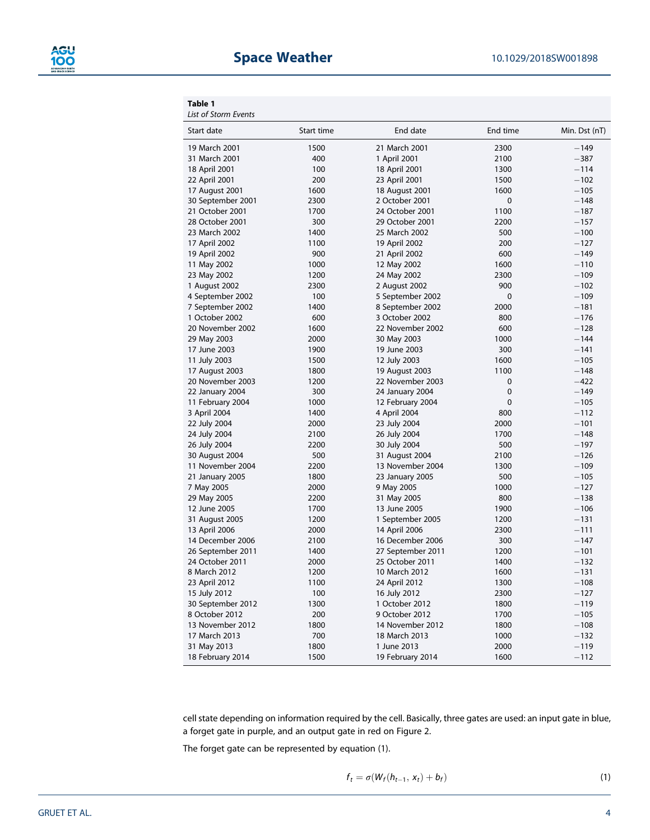#### **Table 1**

*List of Storm Events*

| Start date        | Start time | End date          | End time    | Min. Dst (nT) |
|-------------------|------------|-------------------|-------------|---------------|
| 19 March 2001     | 1500       | 21 March 2001     | 2300        | $-149$        |
| 31 March 2001     | 400        | 1 April 2001      | 2100        | $-387$        |
| 18 April 2001     | 100        | 18 April 2001     | 1300        | $-114$        |
| 22 April 2001     | 200        | 23 April 2001     | 1500        | $-102$        |
| 17 August 2001    | 1600       | 18 August 2001    | 1600        | $-105$        |
| 30 September 2001 | 2300       | 2 October 2001    | $\mathbf 0$ | $-148$        |
| 21 October 2001   | 1700       | 24 October 2001   | 1100        | $-187$        |
| 28 October 2001   | 300        | 29 October 2001   | 2200        | $-157$        |
| 23 March 2002     | 1400       | 25 March 2002     | 500         | $-100$        |
| 17 April 2002     | 1100       | 19 April 2002     | 200         | $-127$        |
| 19 April 2002     | 900        | 21 April 2002     | 600         | $-149$        |
| 11 May 2002       | 1000       | 12 May 2002       | 1600        | $-110$        |
| 23 May 2002       | 1200       | 24 May 2002       | 2300        | $-109$        |
| 1 August 2002     | 2300       | 2 August 2002     | 900         | $-102$        |
| 4 September 2002  | 100        | 5 September 2002  | 0           | $-109$        |
| 7 September 2002  | 1400       | 8 September 2002  | 2000        | $-181$        |
| 1 October 2002    | 600        | 3 October 2002    | 800         | $-176$        |
| 20 November 2002  | 1600       | 22 November 2002  | 600         | $-128$        |
| 29 May 2003       | 2000       | 30 May 2003       | 1000        | $-144$        |
| 17 June 2003      | 1900       | 19 June 2003      | 300         | $-141$        |
| 11 July 2003      | 1500       | 12 July 2003      | 1600        | $-105$        |
| 17 August 2003    | 1800       | 19 August 2003    | 1100        | $-148$        |
| 20 November 2003  | 1200       | 22 November 2003  | $\mathbf 0$ | $-422$        |
| 22 January 2004   | 300        | 24 January 2004   | $\mathbf 0$ | $-149$        |
| 11 February 2004  | 1000       | 12 February 2004  | $\mathbf 0$ | $-105$        |
| 3 April 2004      | 1400       | 4 April 2004      | 800         | $-112$        |
| 22 July 2004      | 2000       | 23 July 2004      | 2000        | $-101$        |
| 24 July 2004      | 2100       | 26 July 2004      | 1700        | $-148$        |
| 26 July 2004      | 2200       | 30 July 2004      | 500         | $-197$        |
| 30 August 2004    | 500        | 31 August 2004    | 2100        | $-126$        |
| 11 November 2004  | 2200       | 13 November 2004  | 1300        | $-109$        |
| 21 January 2005   | 1800       | 23 January 2005   | 500         | $-105$        |
| 7 May 2005        | 2000       | 9 May 2005        | 1000        | $-127$        |
| 29 May 2005       | 2200       | 31 May 2005       | 800         | $-138$        |
| 12 June 2005      | 1700       | 13 June 2005      | 1900        | $-106$        |
| 31 August 2005    | 1200       | 1 September 2005  | 1200        | $-131$        |
| 13 April 2006     | 2000       | 14 April 2006     | 2300        | $-111$        |
| 14 December 2006  | 2100       | 16 December 2006  | 300         | $-147$        |
| 26 September 2011 | 1400       | 27 September 2011 | 1200        | $-101$        |
| 24 October 2011   | 2000       | 25 October 2011   | 1400        | $-132$        |
| 8 March 2012      | 1200       | 10 March 2012     | 1600        | $-131$        |
| 23 April 2012     | 1100       | 24 April 2012     | 1300        | $-108$        |
| 15 July 2012      | 100        | 16 July 2012      | 2300        | $-127$        |
| 30 September 2012 | 1300       | 1 October 2012    | 1800        | $-119$        |
| 8 October 2012    | 200        | 9 October 2012    | 1700        | $-105$        |
| 13 November 2012  | 1800       | 14 November 2012  | 1800        | $-108$        |
| 17 March 2013     | 700        | 18 March 2013     | 1000        | $-132$        |
| 31 May 2013       | 1800       | 1 June 2013       | 2000        | $-119$        |
| 18 February 2014  | 1500       | 19 February 2014  | 1600        | $-112$        |

cell state depending on information required by the cell. Basically, three gates are used: an input gate in blue, a forget gate in purple, and an output gate in red on Figure 2.

The forget gate can be represented by equation (1).

$$
f_t = \sigma(W_f(h_{t-1}, x_t) + b_f)
$$
\n(1)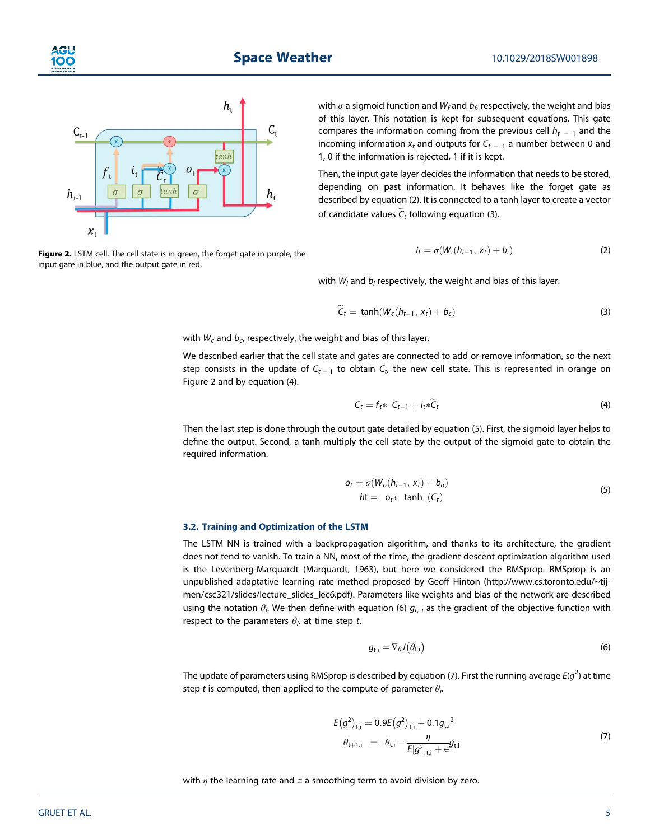

**Figure 2.** LSTM cell. The cell state is in green, the forget gate in purple, the input gate in blue, and the output gate in red.

with  $\sigma$  a sigmoid function and  $W_f$  and  $b_f$ , respectively, the weight and bias of this layer. This notation is kept for subsequent equations. This gate compares the information coming from the previous cell  $h_{t-1}$  and the incoming information  $x_t$  and outputs for  $C_{t-1}$  a number between 0 and 1, 0 if the information is rejected, 1 if it is kept.

Then, the input gate layer decides the information that needs to be stored, depending on past information. It behaves like the forget gate as described by equation (2). It is connected to a tanh layer to create a vector of candidate values  $\widetilde{C}_t$  following equation (3).

$$
i_t = \sigma(W_i(h_{t-1}, x_t) + b_i)
$$
 (2)

with *Wi* and *bi* respectively, the weight and bias of this layer.

$$
\widetilde{C}_t = \tanh(W_c(h_{t-1}, x_t) + b_c) \tag{3}
$$

with  $W_c$  and  $b_c$ , respectively, the weight and bias of this layer.

We described earlier that the cell state and gates are connected to add or remove information, so the next step consists in the update of  $C_{t-1}$  to obtain  $C_t$ , the new cell state. This is represented in orange on Figure 2 and by equation (4).

$$
C_t = f_t * C_{t-1} + i_t * \widetilde{C}_t \tag{4}
$$

Then the last step is done through the output gate detailed by equation (5). First, the sigmoid layer helps to define the output. Second, a tanh multiply the cell state by the output of the sigmoid gate to obtain the required information.

$$
o_t = \sigma(W_o(h_{t-1}, x_t) + b_o)
$$
  
 
$$
ht = o_t * \tanh(C_t)
$$
 (5)

#### **3.2. Training and Optimization of the LSTM**

The LSTM NN is trained with a backpropagation algorithm, and thanks to its architecture, the gradient does not tend to vanish. To train a NN, most of the time, the gradient descent optimization algorithm used is the Levenberg-Marquardt (Marquardt, 1963), but here we considered the RMSprop. RMSprop is an unpublished adaptative learning rate method proposed by Geoff Hinton [\(http://www.cs.toronto.edu/~tij](http://www.cs.toronto.edu/~tijmen/csc321/slides/lecture_slides_lec6.pdf)[men/csc321/slides/lecture\\_slides\\_lec6.pdf\)](http://www.cs.toronto.edu/~tijmen/csc321/slides/lecture_slides_lec6.pdf). Parameters like weights and bias of the network are described using the notation  $\theta_i$ . We then define with equation (6)  $g_{t,\;i}$  as the gradient of the objective function with respect to the parameters  $\theta_i$  at time step *t*.

$$
g_{t,i} = \nabla_{\theta} J(\theta_{t,i})
$$
\n(6)

The update of parameters using RMSprop is described by equation (7). First the running average *E*(*g*<sup>2</sup> ) at time step *t* is computed, then applied to the compute of parameter  $\theta_i$ . .

$$
E(g^{2})_{t,i} = 0.9E(g^{2})_{t,i} + 0.1g_{t,i}^{2}
$$
  
\n
$$
\theta_{t+1,i} = \theta_{t,i} - \frac{\eta}{E[g^{2}]_{t,i} + \epsilon}g_{t,i}
$$
\n(7)

with  $\eta$  the learning rate and  $\epsilon$  a smoothing term to avoid division by zero.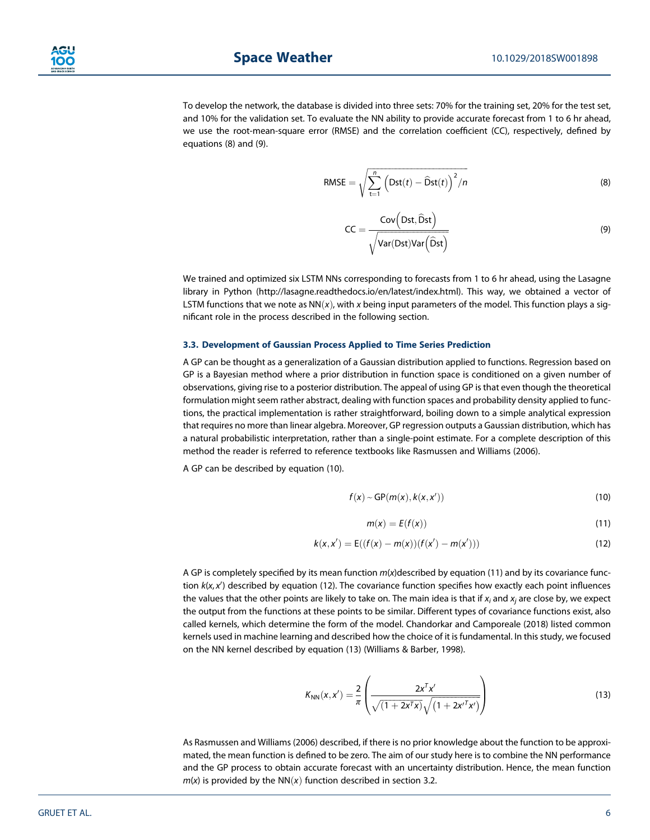

To develop the network, the database is divided into three sets: 70% for the training set, 20% for the test set, and 10% for the validation set. To evaluate the NN ability to provide accurate forecast from 1 to 6 hr ahead, we use the root-mean-square error (RMSE) and the correlation coefficient (CC), respectively, defined by equations (8) and (9).

$$
RMSE = \sqrt{\sum_{t=1}^{n} (Dist(t) - \widehat{D}st(t))^{2}/n}
$$
 (8)

$$
CC = \frac{Cov(Dst, \hat{D}st)}{\sqrt{Var(Dst)Var(\hat{D}st)}}
$$
(9)

We trained and optimized six LSTM NNs corresponding to forecasts from 1 to 6 hr ahead, using the Lasagne library in Python ([http://lasagne.readthedocs.io/en/latest/index.html\)](http://lasagne.readthedocs.io/en/latest/index.html). This way, we obtained a vector of LSTM functions that we note as  $NN(x)$ , with x being input parameters of the model. This function plays a significant role in the process described in the following section.

#### **3.3. Development of Gaussian Process Applied to Time Series Prediction**

A GP can be thought as a generalization of a Gaussian distribution applied to functions. Regression based on GP is a Bayesian method where a prior distribution in function space is conditioned on a given number of observations, giving rise to a posterior distribution. The appeal of using GP is that even though the theoretical formulation might seem rather abstract, dealing with function spaces and probability density applied to functions, the practical implementation is rather straightforward, boiling down to a simple analytical expression that requires no more than linear algebra. Moreover, GP regression outputs a Gaussian distribution, which has a natural probabilistic interpretation, rather than a single-point estimate. For a complete description of this method the reader is referred to reference textbooks like Rasmussen and Williams (2006).

A GP can be described by equation (10).

$$
f(x) \sim GP(m(x), k(x, x')) \tag{10}
$$

$$
m(x) = E(f(x))
$$
\n(11)

$$
k(x, x') = E((f(x) - m(x))(f(x') - m(x')))
$$
\n(12)

A GP is completely specified by its mean function *m*(*x*)described by equation (11) and by its covariance function  $k(x, x')$  described by equation (12). The covariance function specifies how exactly each point influences the values that the other points are likely to take on. The main idea is that if *xi* and *xj* are close by, we expect the output from the functions at these points to be similar. Different types of covariance functions exist, also called kernels, which determine the form of the model. Chandorkar and Camporeale (2018) listed common kernels used in machine learning and described how the choice of it is fundamental. In this study, we focused on the NN kernel described by equation (13) (Williams & Barber, 1998).

$$
K_{NN}(x, x') = \frac{2}{\pi} \left( \frac{2x^{T}x'}{\sqrt{(1 + 2x^{T}x)}\sqrt{(1 + 2x^{T}x')}} \right)
$$
(13)

As Rasmussen and Williams (2006) described, if there is no prior knowledge about the function to be approximated, the mean function is defined to be zero. The aim of our study here is to combine the NN performance and the GP process to obtain accurate forecast with an uncertainty distribution. Hence, the mean function  $m(x)$  is provided by the NN $(x)$  function described in section 3.2.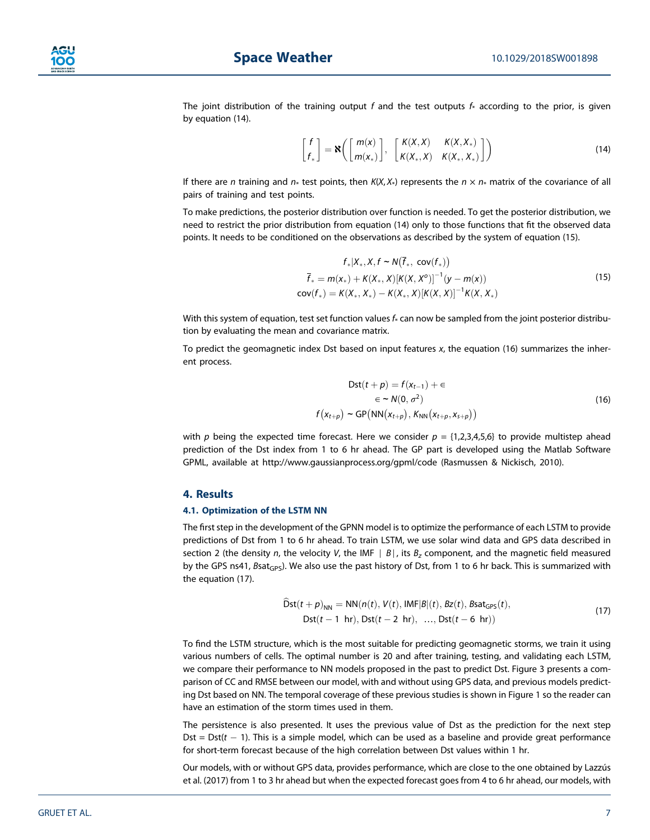

The joint distribution of the training output  $f$  and the test outputs  $f_*$  according to the prior, is given by equation (14).

$$
\begin{bmatrix} f \\ f_* \end{bmatrix} = \mathbf{N} \left( \begin{bmatrix} m(x) \\ m(x_*) \end{bmatrix}, \begin{bmatrix} K(X,X) & K(X,X_*) \\ K(X_*,X) & K(X_*,X_*) \end{bmatrix} \right)
$$
(14)

If there are *n* training and  $n*$  test points, then  $K(X, X*)$  represents the  $n \times n*$  matrix of the covariance of all pairs of training and test points.

To make predictions, the posterior distribution over function is needed. To get the posterior distribution, we need to restrict the prior distribution from equation (14) only to those functions that fit the observed data points. It needs to be conditioned on the observations as described by the system of equation (15).

$$
f_*|X_*, X, f \sim N(\overline{f}_*, \text{ cov}(f_*))
$$
  
\n
$$
\overline{f}_* = m(x_*) + K(X_*, X)[K(X, X^o)]^{-1}(y - m(x))
$$
  
\n
$$
\text{cov}(f_*) = K(X_*, X_*) - K(X_*, X)[K(X, X)]^{-1}K(X, X_*)
$$
\n(15)

With this system of equation, test set function values  $f_*$  can now be sampled from the joint posterior distribution by evaluating the mean and covariance matrix.

To predict the geomagnetic index Dst based on input features *x*, the equation (16) summarizes the inherent process.

$$
Dst(t + p) = f(x_{t-1}) + \epsilon
$$
  
\n
$$
\epsilon \sim N(0, \sigma^2)
$$
  
\n
$$
f(x_{t+p}) \sim GP(NN(x_{t+p}), K_{NN}(x_{t+p}, x_{s+p}))
$$
\n(16)

with *p* being the expected time forecast. Here we consider  $p = \{1,2,3,4,5,6\}$  to provide multistep ahead prediction of the Dst index from 1 to 6 hr ahead. The GP part is developed using the Matlab Software GPML, available at<http://www.gaussianprocess.org/gpml/code> (Rasmussen & Nickisch, 2010).

#### **4. Results**

#### **4.1. Optimization of the LSTM NN**

The first step in the development of the GPNN model is to optimize the performance of each LSTM to provide predictions of Dst from 1 to 6 hr ahead. To train LSTM, we use solar wind data and GPS data described in section 2 (the density *n*, the velocity *V*, the IMF ∣ *B*∣, its *Bz* component, and the magnetic field measured by the GPS ns41, *Bsat<sub>GPS</sub>*). We also use the past history of Dst, from 1 to 6 hr back. This is summarized with the equation (17).

$$
\begin{aligned} \text{Dist}(t+p)_{NN} &= \text{NN}(n(t), V(t), \text{IMF}|\mathcal{B}|(t), \mathcal{B}z(t), \mathcal{B}z_{\text{GPS}}(t), \\ \text{Dst}(t-1 \text{ hr}), \text{Dst}(t-2 \text{ hr}), \dots, \text{Dst}(t-6 \text{ hr}) \end{aligned} \tag{17}
$$

To find the LSTM structure, which is the most suitable for predicting geomagnetic storms, we train it using various numbers of cells. The optimal number is 20 and after training, testing, and validating each LSTM, we compare their performance to NN models proposed in the past to predict Dst. Figure 3 presents a comparison of CC and RMSE between our model, with and without using GPS data, and previous models predicting Dst based on NN. The temporal coverage of these previous studies is shown in Figure 1 so the reader can have an estimation of the storm times used in them.

The persistence is also presented. It uses the previous value of Dst as the prediction for the next step Dst  $=$  Dst( $t$   $-$  1). This is a simple model, which can be used as a baseline and provide great performance for short-term forecast because of the high correlation between Dst values within 1 hr.

Our models, with or without GPS data, provides performance, which are close to the one obtained by Lazzús et al. (2017) from 1 to 3 hr ahead but when the expected forecast goes from 4 to 6 hr ahead, our models, with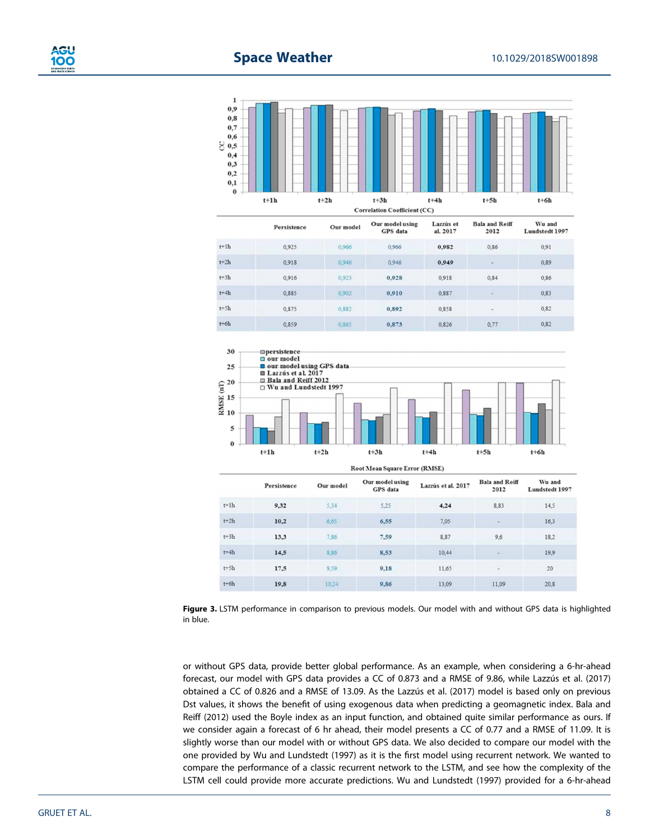

|          | Persistence | Our model | <b>Our monernamix</b><br>GPS data | <b>LAZZUS CL</b><br>al. 2017 | Daia and <i>Ivem</i><br>2012 | wu anu<br>Lundstedt 1997 |
|----------|-------------|-----------|-----------------------------------|------------------------------|------------------------------|--------------------------|
| $t+1h$   | 0,925       | 0,966     | 0,966                             | 0.982                        | 0.86                         | 0.91                     |
| $t+2h$   | 0,918       | 0,946     | 0.946                             | 0.949                        | $\sim$                       | 0.89                     |
| $t + 3h$ | 0.916       | 0.923     | 0.928                             | 0.918                        | 0.84                         | 0.86                     |
| $t + 4h$ | 0.885       | 0.902     | 0.910                             | 0,887                        | $\overline{a}$               | 0,83                     |
| $t+5h$   | 0,875       | 0,882     | 0.892                             | 0.858                        | $\overline{\phantom{a}}$     | 0.82                     |
| $t + 6h$ | 0.859       | 0.865     | 0.873                             | 0.826                        | 0,77                         | 0,82                     |



**Root Mean Square Error (RMSE)** 

|          | Persistence | Our model   | Our model using<br>GPS data | Lazzús et al. 2017 | <b>Bala and Reiff</b><br>2012 | Wu and<br>Lundstedt 1997 |
|----------|-------------|-------------|-----------------------------|--------------------|-------------------------------|--------------------------|
| $t+1h$   | 9.32        | 5,34        | 5.25                        | 4,24               | 8,83                          | 14,5                     |
| $t+2h$   | 10.2        | 6,65        | 6.55                        | 7,05               |                               | 16.3                     |
| $t + 3h$ | 13,3        | 7,86        | 7.59                        | 8,87               | 9,6                           | 18.2                     |
| $t + 4h$ | 14.5        | <b>S.86</b> | 8.53                        | 10.44              | ÷                             | 19.9                     |
| $t + 5h$ | 17.5        | 9.59        | 9.18                        | 11,65              | ÷                             | 20                       |
| $t + 6h$ | 19.8        | 10.24       | 9,86                        | 13,09              | 11.09                         | 20.8                     |

**Figure 3.** LSTM performance in comparison to previous models. Our model with and without GPS data is highlighted in blue.

or without GPS data, provide better global performance. As an example, when considering a 6-hr-ahead forecast, our model with GPS data provides a CC of 0.873 and a RMSE of 9.86, while Lazzús et al. (2017) obtained a CC of 0.826 and a RMSE of 13.09. As the Lazzús et al. (2017) model is based only on previous Dst values, it shows the benefit of using exogenous data when predicting a geomagnetic index. Bala and Reiff (2012) used the Boyle index as an input function, and obtained quite similar performance as ours. If we consider again a forecast of 6 hr ahead, their model presents a CC of 0.77 and a RMSE of 11.09. It is slightly worse than our model with or without GPS data. We also decided to compare our model with the one provided by Wu and Lundstedt (1997) as it is the first model using recurrent network. We wanted to compare the performance of a classic recurrent network to the LSTM, and see how the complexity of the LSTM cell could provide more accurate predictions. Wu and Lundstedt (1997) provided for a 6-hr-ahead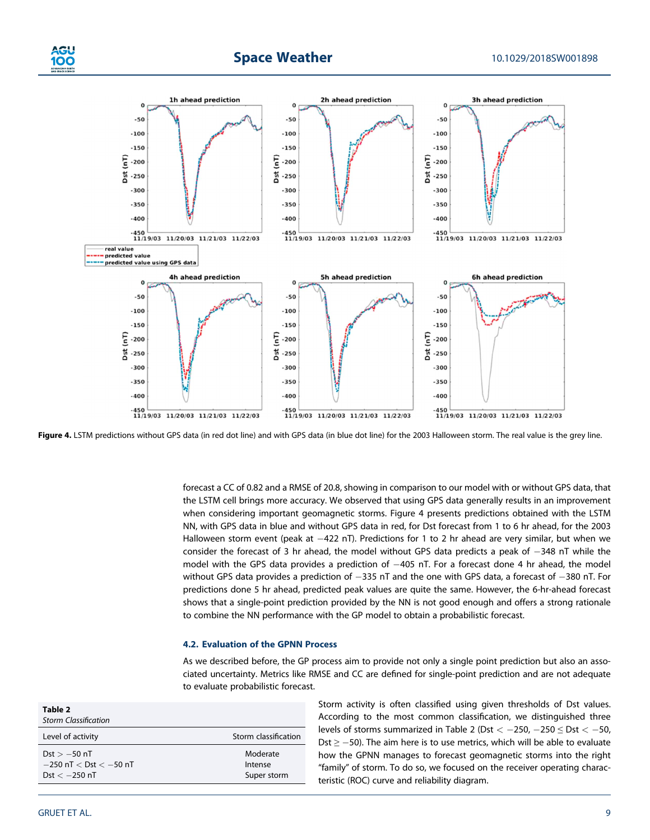



Figure 4. LSTM predictions without GPS data (in red dot line) and with GPS data (in blue dot line) for the 2003 Halloween storm. The real value is the grey line.

forecast a CC of 0.82 and a RMSE of 20.8, showing in comparison to our model with or without GPS data, that the LSTM cell brings more accuracy. We observed that using GPS data generally results in an improvement when considering important geomagnetic storms. Figure 4 presents predictions obtained with the LSTM NN, with GPS data in blue and without GPS data in red, for Dst forecast from 1 to 6 hr ahead, for the 2003 Halloween storm event (peak at  $-422$  nT). Predictions for 1 to 2 hr ahead are very similar, but when we consider the forecast of 3 hr ahead, the model without GPS data predicts a peak of  $-348$  nT while the model with the GPS data provides a prediction of  $-405$  nT. For a forecast done 4 hr ahead, the model without GPS data provides a prediction of  $-335$  nT and the one with GPS data, a forecast of  $-380$  nT. For predictions done 5 hr ahead, predicted peak values are quite the same. However, the 6-hr-ahead forecast shows that a single-point prediction provided by the NN is not good enough and offers a strong rationale to combine the NN performance with the GP model to obtain a probabilistic forecast.

#### **4.2. Evaluation of the GPNN Process**

As we described before, the GP process aim to provide not only a single point prediction but also an associated uncertainty. Metrics like RMSE and CC are defined for single-point prediction and are not adequate to evaluate probabilistic forecast.

| Table 2<br><b>Storm Classification</b>                             |                                    |
|--------------------------------------------------------------------|------------------------------------|
| Level of activity                                                  | Storm classification               |
| $Dst > -50$ nT<br>$-250$ nT $<$ Dst $<$ $-50$ nT<br>Dst $<-250$ nT | Moderate<br>Intense<br>Super storm |

Storm activity is often classified using given thresholds of Dst values. According to the most common classification, we distinguished three levels of storms summarized in Table 2 (Dst  $<-250$ ,  $-250 \leq \text{Dst} < -50$ , Dst  $\ge$  -50). The aim here is to use metrics, which will be able to evaluate how the GPNN manages to forecast geomagnetic storms into the right "family" of storm. To do so, we focused on the receiver operating characteristic (ROC) curve and reliability diagram.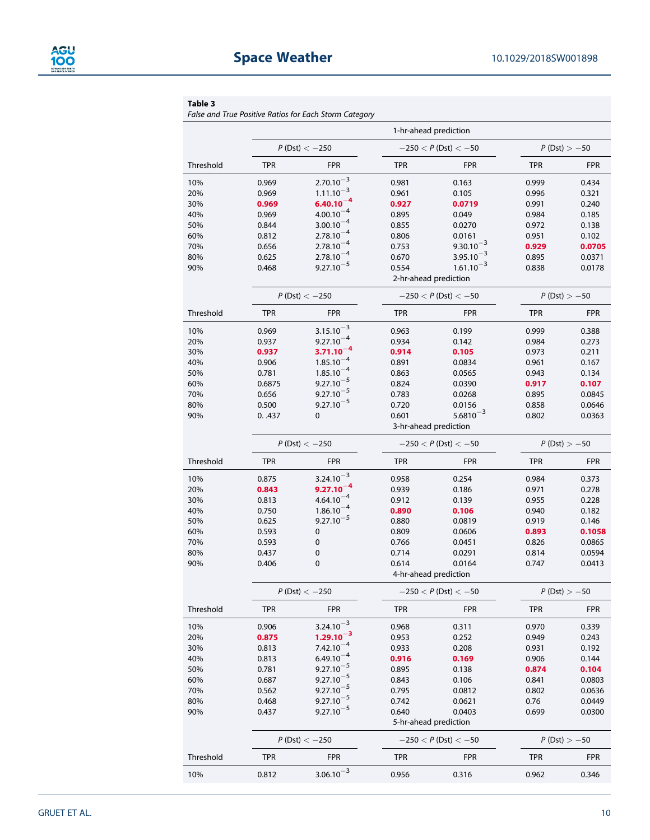#### **Table 3**

*False and True Positive Ratios for Each Storm Category*

|           | 1-hr-ahead prediction |                                  |                          |                                         |                |                |
|-----------|-----------------------|----------------------------------|--------------------------|-----------------------------------------|----------------|----------------|
|           |                       | $P(Dst) < -250$                  | $-250 < P$ (Dst) $< -50$ |                                         | $P(Dst) > -50$ |                |
| Threshold | <b>TPR</b>            | <b>FPR</b>                       | <b>TPR</b>               | <b>FPR</b>                              | <b>TPR</b>     | <b>FPR</b>     |
| 10%       | 0.969                 | $2.70.10^{-3}$                   | 0.981                    | 0.163                                   | 0.999          | 0.434          |
| 20%       | 0.969                 | $1.11.10^{-3}$                   | 0.961                    | 0.105                                   | 0.996          | 0.321          |
| 30%       | 0.969                 | $6.40.10^{-4}$                   | 0.927                    | 0.0719                                  | 0.991          | 0.240          |
| 40%       | 0.969                 | $4.00.10^{-4}$                   | 0.895                    | 0.049                                   | 0.984          | 0.185          |
| 50%       | 0.844                 | $3.00.10^{-4}$                   | 0.855                    | 0.0270                                  | 0.972          | 0.138          |
| 60%       | 0.812                 | $2.78.10^{-4}$                   | 0.806                    | 0.0161                                  | 0.951          | 0.102          |
| 70%       | 0.656                 | $2.78.10^{-4}$                   | 0.753                    | $9.30.10^{-3}$                          | 0.929          | 0.0705         |
| 80%       | 0.625                 | $2.78.10^{-4}$                   | 0.670                    | $3.95.10^{-3}$                          | 0.895          | 0.0371         |
| 90%       | 0.468                 | $9.27.10^{-5}$                   | 0.554                    | $1.61.10^{-3}$<br>2-hr-ahead prediction | 0.838          | 0.0178         |
|           |                       | $P(Dst) < -250$                  |                          | $-250 < P$ (Dst) $< -50$                | $P(Dst) > -50$ |                |
| Threshold | <b>TPR</b>            | <b>FPR</b>                       | <b>TPR</b>               | <b>FPR</b>                              | <b>TPR</b>     | <b>FPR</b>     |
| 10%       | 0.969                 | $3.15.10^{-3}$                   | 0.963                    | 0.199                                   | 0.999          | 0.388          |
| 20%       | 0.937                 | $9.27.10^{-4}$                   | 0.934                    | 0.142                                   | 0.984          | 0.273          |
| 30%       | 0.937                 | $3.71.10^{-4}$                   | 0.914                    | 0.105                                   | 0.973          | 0.211          |
| 40%       | 0.906                 | $1.85.10^{-4}$                   | 0.891                    | 0.0834                                  | 0.961          | 0.167          |
| 50%       | 0.781                 | $1.85.10^{-4}$                   | 0.863                    | 0.0565                                  | 0.943          | 0.134          |
| 60%       | 0.6875                | $9.27.10^{-5}$                   | 0.824                    | 0.0390                                  | 0.917          | 0.107          |
| 70%       | 0.656                 | $9.27.10^{-5}$                   | 0.783                    | 0.0268                                  | 0.895          | 0.0845         |
| 80%       | 0.500                 | $9.27.10^{-5}$                   | 0.720                    | 0.0156                                  | 0.858          | 0.0646         |
| 90%       | 0.437                 | 0                                | 0.601                    | $5.6810^{-3}$                           | 0.802          | 0.0363         |
|           |                       |                                  |                          | 3-hr-ahead prediction                   |                |                |
|           | $P(Dst) < -250$       |                                  | $-250 < P$ (Dst) $< -50$ |                                         | $P(Dst) > -50$ |                |
| Threshold | <b>TPR</b>            | <b>FPR</b>                       | <b>TPR</b>               | <b>FPR</b>                              | <b>TPR</b>     | <b>FPR</b>     |
| 10%       | 0.875                 | $3.24.10^{-3}$                   | 0.958                    | 0.254                                   | 0.984          | 0.373          |
| 20%       | 0.843                 | $9.27.10^{-4}$                   | 0.939                    | 0.186                                   | 0.971          | 0.278          |
| 30%       | 0.813                 | $4.64.10^{-4}$                   | 0.912                    | 0.139                                   | 0.955          | 0.228          |
| 40%       | 0.750                 | $1.86.10^{-4}$                   | 0.890                    | 0.106                                   | 0.940          | 0.182          |
| 50%       | 0.625                 | $9.27.10^{-5}$                   | 0.880                    | 0.0819                                  | 0.919          | 0.146          |
| 60%       | 0.593                 | $\pmb{0}$                        | 0.809                    | 0.0606                                  | 0.893          | 0.1058         |
| 70%       | 0.593                 | 0                                | 0.766                    | 0.0451                                  | 0.826          | 0.0865         |
| 80%       | 0.437                 | 0                                | 0.714                    | 0.0291                                  | 0.814          | 0.0594         |
| 90%       | 0.406                 | 0                                | 0.614                    | 0.0164                                  | 0.747          | 0.0413         |
|           |                       |                                  |                          | 4-hr-ahead prediction                   |                |                |
|           |                       | $P(Dst) < -250$                  |                          | $-250 < P(Dst) < -50$                   |                | $P(Dst) > -50$ |
| Threshold | <b>TPR</b>            | <b>FPR</b>                       | <b>TPR</b>               | <b>FPR</b>                              | <b>TPR</b>     | <b>FPR</b>     |
| 10%       | 0.906                 | $3.24.10^{-3}$                   | 0.968                    | 0.311                                   | 0.970          | 0.339          |
| 20%       | 0.875                 | $1.29.10^{-3}$                   | 0.953                    | 0.252                                   | 0.949          | 0.243          |
| 30%       | 0.813                 | $7.42.10^{-4}$                   | 0.933                    | 0.208                                   | 0.931          | 0.192          |
| 40%       | 0.813                 | $6.49.10^{-4}$                   | 0.916                    | 0.169                                   | 0.906          | 0.144          |
| 50%       | 0.781                 | $9.27.10^{-5}$                   | 0.895                    | 0.138                                   | 0.874          | 0.104          |
| 60%       | 0.687                 | $9.27.10^{-5}$                   | 0.843                    | 0.106                                   | 0.841          | 0.0803         |
| 70%       | 0.562                 | $9.27.10^{-5}$<br>$9.27.10^{-5}$ | 0.795                    | 0.0812                                  | 0.802          | 0.0636         |
| 80%       | 0.468                 | $9.27.10^{-5}$                   | 0.742                    | 0.0621                                  | 0.76           | 0.0449         |
| 90%       | 0.437                 |                                  | 0.640                    | 0.0403<br>5-hr-ahead prediction         | 0.699          | 0.0300         |
|           |                       | $P(Dst) < -250$                  | $-250 < P(Dst) < -50$    |                                         | $P(Dst) > -50$ |                |
| Threshold | <b>TPR</b>            | <b>FPR</b>                       | <b>TPR</b>               | <b>FPR</b>                              | <b>TPR</b>     | <b>FPR</b>     |
| 10%       | 0.812                 | $3.06.10^{-3}$                   | 0.956                    | 0.316                                   | 0.962          | 0.346          |
|           |                       |                                  |                          |                                         |                |                |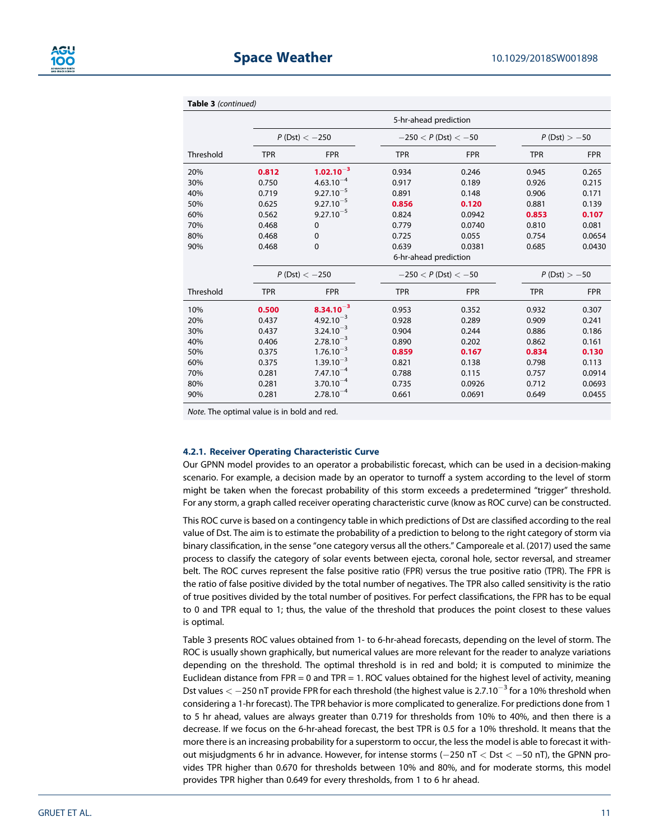

|  | <b>Table 3</b> (continued) |
|--|----------------------------|
|--|----------------------------|

|           | 5-hr-ahead prediction |                 |                       |                          |            |                |  |
|-----------|-----------------------|-----------------|-----------------------|--------------------------|------------|----------------|--|
|           |                       | $P(Dst) < -250$ |                       | $-250 < P$ (Dst) $< -50$ |            | $P(Dst) > -50$ |  |
| Threshold | <b>TPR</b>            | <b>FPR</b>      | <b>TPR</b>            | <b>FPR</b>               | <b>TPR</b> | <b>FPR</b>     |  |
| 20%       | 0.812                 | $1.02.10^{-3}$  | 0.934                 | 0.246                    | 0.945      | 0.265          |  |
| 30%       | 0.750                 | $4.63.10^{-4}$  | 0.917                 | 0.189                    | 0.926      | 0.215          |  |
| 40%       | 0.719                 | $9.27.10^{-5}$  | 0.891                 | 0.148                    | 0.906      | 0.171          |  |
| 50%       | 0.625                 | $9.27.10^{-5}$  | 0.856                 | 0.120                    | 0.881      | 0.139          |  |
| 60%       | 0.562                 | $9.27.10^{-5}$  | 0.824                 | 0.0942                   | 0.853      | 0.107          |  |
| 70%       | 0.468                 | $\mathbf 0$     | 0.779                 | 0.0740                   | 0.810      | 0.081          |  |
| 80%       | 0.468                 | $\mathbf 0$     | 0.725                 | 0.055                    | 0.754      | 0.0654         |  |
| 90%       | 0.468                 | $\mathbf 0$     | 0.639                 | 0.0381                   | 0.685      | 0.0430         |  |
|           |                       |                 | 6-hr-ahead prediction |                          |            |                |  |
|           | $P(Dst) < -250$       |                 |                       | $-250 < P$ (Dst) $< -50$ |            | $P(Dst) > -50$ |  |
| Threshold | <b>TPR</b>            | <b>FPR</b>      | <b>TPR</b>            | <b>FPR</b>               | <b>TPR</b> | <b>FPR</b>     |  |
| 10%       | 0.500                 | $8.34.10^{-3}$  | 0.953                 | 0.352                    | 0.932      | 0.307          |  |
| 20%       | 0.437                 | $4.92.10^{-3}$  | 0.928                 | 0.289                    | 0.909      | 0.241          |  |
| 30%       | 0.437                 | $3.24.10^{-3}$  | 0.904                 | 0.244                    | 0.886      | 0.186          |  |
| 40%       | 0.406                 | $2.78.10^{-3}$  | 0.890                 | 0.202                    | 0.862      | 0.161          |  |
| 50%       | 0.375                 | $1.76.10^{-3}$  | 0.859                 | 0.167                    | 0.834      | 0.130          |  |
| 60%       | 0.375                 | $1.39.10^{-3}$  | 0.821                 | 0.138                    | 0.798      | 0.113          |  |
| 70%       | 0.281                 | $7.47.10^{-4}$  | 0.788                 | 0.115                    | 0.757      | 0.0914         |  |
| 80%       | 0.281                 | $3.70.10^{-4}$  | 0.735                 | 0.0926                   | 0.712      | 0.0693         |  |
| 90%       | 0.281                 | $2.78.10^{-4}$  | 0.661                 | 0.0691                   | 0.649      | 0.0455         |  |

*Note*. The optimal value is in bold and red.

#### **4.2.1. Receiver Operating Characteristic Curve**

Our GPNN model provides to an operator a probabilistic forecast, which can be used in a decision-making scenario. For example, a decision made by an operator to turnoff a system according to the level of storm might be taken when the forecast probability of this storm exceeds a predetermined "trigger" threshold. For any storm, a graph called receiver operating characteristic curve (know as ROC curve) can be constructed.

This ROC curve is based on a contingency table in which predictions of Dst are classified according to the real value of Dst. The aim is to estimate the probability of a prediction to belong to the right category of storm via binary classification, in the sense "one category versus all the others." Camporeale et al. (2017) used the same process to classify the category of solar events between ejecta, coronal hole, sector reversal, and streamer belt. The ROC curves represent the false positive ratio (FPR) versus the true positive ratio (TPR). The FPR is the ratio of false positive divided by the total number of negatives. The TPR also called sensitivity is the ratio of true positives divided by the total number of positives. For perfect classifications, the FPR has to be equal to 0 and TPR equal to 1; thus, the value of the threshold that produces the point closest to these values is optimal.

Table 3 presents ROC values obtained from 1- to 6-hr-ahead forecasts, depending on the level of storm. The ROC is usually shown graphically, but numerical values are more relevant for the reader to analyze variations depending on the threshold. The optimal threshold is in red and bold; it is computed to minimize the Euclidean distance from FPR = 0 and TPR = 1. ROC values obtained for the highest level of activity, meaning Dst values  $<-250$  nT provide FPR for each threshold (the highest value is 2.7.10<sup>-3</sup> for a 10% threshold when considering a 1-hr forecast). The TPR behavior is more complicated to generalize. For predictions done from 1 to 5 hr ahead, values are always greater than 0.719 for thresholds from 10% to 40%, and then there is a decrease. If we focus on the 6-hr-ahead forecast, the best TPR is 0.5 for a 10% threshold. It means that the more there is an increasing probability for a superstorm to occur, the less the model is able to forecast it without misjudgments 6 hr in advance. However, for intense storms (-250 nT < Dst < -50 nT), the GPNN provides TPR higher than 0.670 for thresholds between 10% and 80%, and for moderate storms, this model provides TPR higher than 0.649 for every thresholds, from 1 to 6 hr ahead.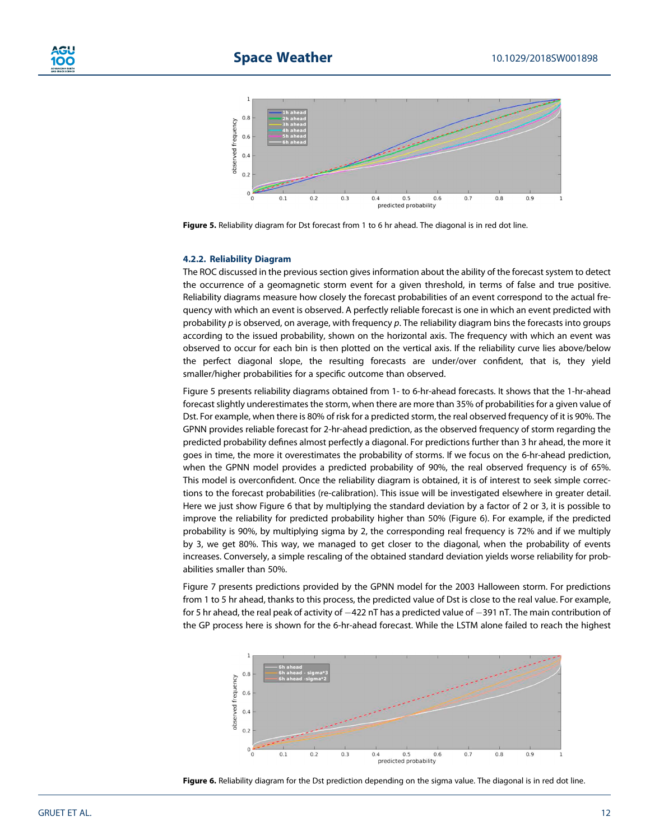

**Figure 5.** Reliability diagram for Dst forecast from 1 to 6 hr ahead. The diagonal is in red dot line.

#### **4.2.2. Reliability Diagram**

The ROC discussed in the previous section gives information about the ability of the forecast system to detect the occurrence of a geomagnetic storm event for a given threshold, in terms of false and true positive. Reliability diagrams measure how closely the forecast probabilities of an event correspond to the actual frequency with which an event is observed. A perfectly reliable forecast is one in which an event predicted with probability *p* is observed, on average, with frequency *p*. The reliability diagram bins the forecasts into groups according to the issued probability, shown on the horizontal axis. The frequency with which an event was observed to occur for each bin is then plotted on the vertical axis. If the reliability curve lies above/below the perfect diagonal slope, the resulting forecasts are under/over confident, that is, they yield smaller/higher probabilities for a specific outcome than observed.

Figure 5 presents reliability diagrams obtained from 1- to 6-hr-ahead forecasts. It shows that the 1-hr-ahead forecast slightly underestimates the storm, when there are more than 35% of probabilities for a given value of Dst. For example, when there is 80% of risk for a predicted storm, the real observed frequency of it is 90%. The GPNN provides reliable forecast for 2-hr-ahead prediction, as the observed frequency of storm regarding the predicted probability defines almost perfectly a diagonal. For predictions further than 3 hr ahead, the more it goes in time, the more it overestimates the probability of storms. If we focus on the 6-hr-ahead prediction, when the GPNN model provides a predicted probability of 90%, the real observed frequency is of 65%. This model is overconfident. Once the reliability diagram is obtained, it is of interest to seek simple corrections to the forecast probabilities (re-calibration). This issue will be investigated elsewhere in greater detail. Here we just show Figure 6 that by multiplying the standard deviation by a factor of 2 or 3, it is possible to improve the reliability for predicted probability higher than 50% (Figure 6). For example, if the predicted probability is 90%, by multiplying sigma by 2, the corresponding real frequency is 72% and if we multiply by 3, we get 80%. This way, we managed to get closer to the diagonal, when the probability of events increases. Conversely, a simple rescaling of the obtained standard deviation yields worse reliability for probabilities smaller than 50%.

Figure 7 presents predictions provided by the GPNN model for the 2003 Halloween storm. For predictions from 1 to 5 hr ahead, thanks to this process, the predicted value of Dst is close to the real value. For example, for 5 hr ahead, the real peak of activity of  $-422$  nT has a predicted value of  $-391$  nT. The main contribution of the GP process here is shown for the 6-hr-ahead forecast. While the LSTM alone failed to reach the highest



**Figure 6.** Reliability diagram for the Dst prediction depending on the sigma value. The diagonal is in red dot line.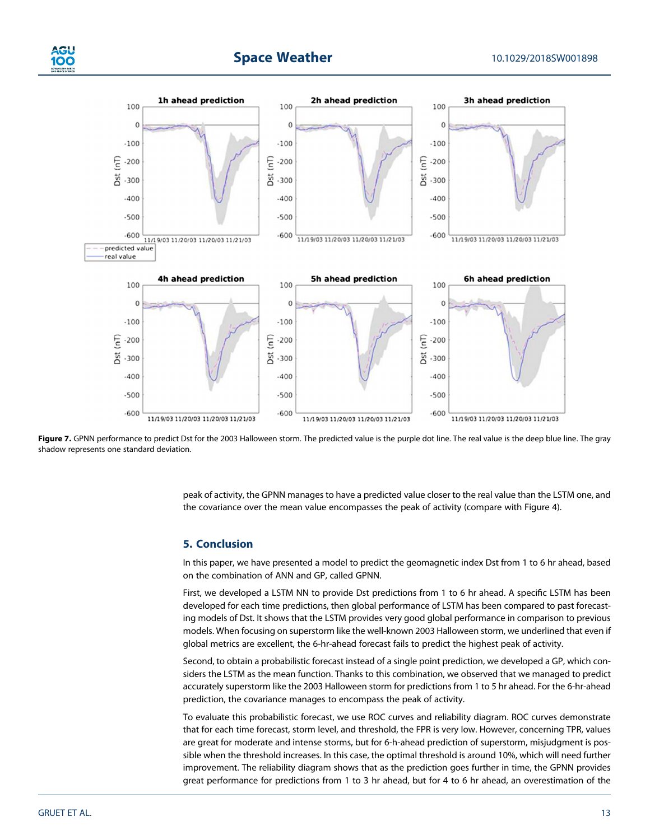

## **Space Weather** 10.1029/2018SW001898



Figure 7. GPNN performance to predict Dst for the 2003 Halloween storm. The predicted value is the purple dot line. The real value is the deep blue line. The gray shadow represents one standard deviation.

peak of activity, the GPNN manages to have a predicted value closer to the real value than the LSTM one, and the covariance over the mean value encompasses the peak of activity (compare with Figure 4).

#### **5. Conclusion**

In this paper, we have presented a model to predict the geomagnetic index Dst from 1 to 6 hr ahead, based on the combination of ANN and GP, called GPNN.

First, we developed a LSTM NN to provide Dst predictions from 1 to 6 hr ahead. A specific LSTM has been developed for each time predictions, then global performance of LSTM has been compared to past forecasting models of Dst. It shows that the LSTM provides very good global performance in comparison to previous models. When focusing on superstorm like the well-known 2003 Halloween storm, we underlined that even if global metrics are excellent, the 6-hr-ahead forecast fails to predict the highest peak of activity.

Second, to obtain a probabilistic forecast instead of a single point prediction, we developed a GP, which considers the LSTM as the mean function. Thanks to this combination, we observed that we managed to predict accurately superstorm like the 2003 Halloween storm for predictions from 1 to 5 hr ahead. For the 6-hr-ahead prediction, the covariance manages to encompass the peak of activity.

To evaluate this probabilistic forecast, we use ROC curves and reliability diagram. ROC curves demonstrate that for each time forecast, storm level, and threshold, the FPR is very low. However, concerning TPR, values are great for moderate and intense storms, but for 6-h-ahead prediction of superstorm, misjudgment is possible when the threshold increases. In this case, the optimal threshold is around 10%, which will need further improvement. The reliability diagram shows that as the prediction goes further in time, the GPNN provides great performance for predictions from 1 to 3 hr ahead, but for 4 to 6 hr ahead, an overestimation of the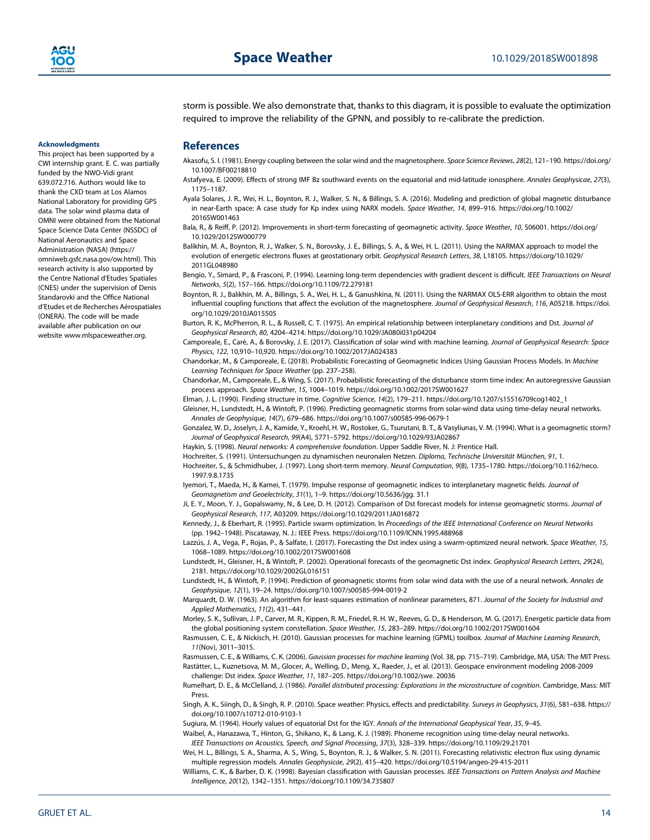**Acknowledgments**

This project has been supported by a CWI internship grant. E. C. was partially funded by the NWO-Vidi grant 639.072.716. Authors would like to thank the CXD team at Los Alamos National Laboratory for providing GPS data. The solar wind plasma data of OMNI were obtained from the National Space Science Data Center (NSSDC) of National Aeronautics and Space Administration (NASA) ([https://](https://omniweb.gsfc.nasa.gov/ow.html) [omniweb.gsfc.nasa.gov/ow.html](https://omniweb.gsfc.nasa.gov/ow.html)). This research activity is also supported by the Centre National d'Etudes Spatiales (CNES) under the supervision of Denis Standarovki and the Office National d'Etudes et de Recherches Aérospatiales (ONERA). The code will be made available after publication on our website [www.mlspaceweather.org.](http://www.mlspaceweather.org)

storm is possible. We also demonstrate that, thanks to this diagram, it is possible to evaluate the optimization required to improve the reliability of the GPNN, and possibly to re-calibrate the prediction.

#### **References**

- Akasofu, S. I. (1981). Energy coupling between the solar wind and the magnetosphere. *Space Science Reviews*, *28*(2), 121–190. [https://doi.org/](https://doi.org/10.1007/BF00218810) [10.1007/BF00218810](https://doi.org/10.1007/BF00218810)
- Astafyeva, E. (2009). Effects of strong IMF Bz southward events on the equatorial and mid-latitude ionosphere. *Annales Geophysicae*, *27*(3), 1175–1187.
- Ayala Solares, J. R., Wei, H. L., Boynton, R. J., Walker, S. N., & Billings, S. A. (2016). Modeling and prediction of global magnetic disturbance in near-Earth space: A case study for Kp index using NARX models. *Space Weather*, *14*, 899–916. [https://doi.org/10.1002/](https://doi.org/10.1002/2016SW001463) [2016SW001463](https://doi.org/10.1002/2016SW001463)
- Bala, R., & Reiff, P. (2012). Improvements in short-term forecasting of geomagnetic activity. *Space Weather*, *10*, S06001. [https://doi.org/](https://doi.org/10.1029/2012SW000779) [10.1029/2012SW000779](https://doi.org/10.1029/2012SW000779)
- Balikhin, M. A., Boynton, R. J., Walker, S. N., Borovsky, J. E., Billings, S. A., & Wei, H. L. (2011). Using the NARMAX approach to model the evolution of energetic electrons fluxes at geostationary orbit. *Geophysical Research Letters*, *38*, L18105. [https://doi.org/10.1029/](https://doi.org/10.1029/2011GL048980) [2011GL048980](https://doi.org/10.1029/2011GL048980)
- Bengio, Y., Simard, P., & Frasconi, P. (1994). Learning long-term dependencies with gradient descent is difficult. *IEEE Transactions on Neural Networks*, *5*(2), 157–166.<https://doi.org/10.1109/72.279181>
- Boynton, R. J., Balikhin, M. A., Billings, S. A., Wei, H. L., & Ganushkina, N. (2011). Using the NARMAX OLS-ERR algorithm to obtain the most influential coupling functions that affect the evolution of the magnetosphere. *Journal of Geophysical Research*, *116*, A05218. [https://doi.](https://doi.org/10.1029/2010JA015505) [org/10.1029/2010JA015505](https://doi.org/10.1029/2010JA015505)
- Burton, R. K., McPherron, R. L., & Russell, C. T. (1975). An empirical relationship between interplanetary conditions and Dst. *Journal of Geophysical Research*, *80*, 4204–4214.<https://doi.org/10.1029/JA080i031p04204>
- Camporeale, E., Carè, A., & Borovsky, J. E. (2017). Classification of solar wind with machine learning. *Journal of Geophysical Research: Space Physics*, *122*, 10,910–10,920.<https://doi.org/10.1002/2017JA024383>
- Chandorkar, M., & Camporeale, E. (2018). Probabilistic Forecasting of Geomagnetic Indices Using Gaussian Process Models. In *Machine Learning Techniques for Space Weather* (pp. 237–258).
- Chandorkar, M., Camporeale, E., & Wing, S. (2017). Probabilistic forecasting of the disturbance storm time index: An autoregressive Gaussian process approach. *Space Weather*, *15*, 1004–1019.<https://doi.org/10.1002/2017SW001627>
- Elman, J. L. (1990). Finding structure in time. *Cognitive Science*, *14*(2), 179–211. [https://doi.org/10.1207/s15516709cog1402\\_1](https://doi.org/10.1207/s15516709cog1402_1)
- Gleisner, H., Lundstedt, H., & Wintoft, P. (1996). Predicting geomagnetic storms from solar-wind data using time-delay neural networks. *Annales de Geophysique*, *14*(7), 679–686.<https://doi.org/10.1007/s00585-996-0679-1>
- Gonzalez, W. D., Joselyn, J. A., Kamide, Y., Kroehl, H. W., Rostoker, G., Tsurutani, B. T., & Vasyliunas, V. M. (1994). What is a geomagnetic storm? *Journal of Geophysical Research*, *99*(A4), 5771–5792.<https://doi.org/10.1029/93JA02867>
- Haykin, S. (1998). *Neural networks: A comprehensive foundation*. Upper Saddle River, N. J: Prentice Hall.
- Hochreiter, S. (1991). Untersuchungen zu dynamischen neuronalen Netzen. *Diploma, Technische Universität München*, *91*, 1.
- Hochreiter, S., & Schmidhuber, J. (1997). Long short-term memory. *Neural Computation*, *9*(8), 1735–1780. [https://doi.org/10.1162/neco.](https://doi.org/10.1162/neco.%201997.9.8.1735) [1997.9.8.1735](https://doi.org/10.1162/neco.%201997.9.8.1735)
- Iyemori, T., Maeda, H., & Kamei, T. (1979). Impulse response of geomagnetic indices to interplanetary magnetic fields. *Journal of Geomagnetism and Geoelectricity*, *31*(1), 1–9. [https://doi.org/10.5636/jgg. 31.1](https://doi.org/10.5636/jgg.%2031.1)
- Ji, E. Y., Moon, Y. J., Gopalswamy, N., & Lee, D. H. (2012). Comparison of Dst forecast models for intense geomagnetic storms. *Journal of Geophysical Research*, *117*, A03209.<https://doi.org/10.1029/2011JA016872>
- Kennedy, J., & Eberhart, R. (1995). Particle swarm optimization. In *Proceedings of the IEEE International Conference on Neural Networks* (pp. 1942–1948). Piscataway, N. J.: IEEE Press.<https://doi.org/10.1109/ICNN.1995.488968>
- Lazzús, J. A., Vega, P., Rojas, P., & Salfate, I. (2017). Forecasting the Dst index using a swarm-optimized neural network. *Space Weather*, *15*, 1068–1089.<https://doi.org/10.1002/2017SW001608>
- Lundstedt, H., Gleisner, H., & Wintoft, P. (2002). Operational forecasts of the geomagnetic Dst index. *Geophysical Research Letters*, *29*(24), 2181.<https://doi.org/10.1029/2002GL016151>
- Lundstedt, H., & Wintoft, P. (1994). Prediction of geomagnetic storms from solar wind data with the use of a neural network. *Annales de Geophysique*, *12*(1), 19–24.<https://doi.org/10.1007/s00585-994-0019-2>
- Marquardt, D. W. (1963). An algorithm for least-squares estimation of nonlinear parameters, 871. *Journal of the Society for Industrial and Applied Mathematics*, *11*(2), 431–441.
- Morley, S. K., Sullivan, J. P., Carver, M. R., Kippen, R. M., Friedel, R. H. W., Reeves, G. D., & Henderson, M. G. (2017). Energetic particle data from the global positioning system constellation. *Space Weather*, *15*, 283–289.<https://doi.org/10.1002/2017SW001604>
- Rasmussen, C. E., & Nickisch, H. (2010). Gaussian processes for machine learning (GPML) toolbox. *Journal of Machine Learning Research*, *11*(Nov), 3011–3015.
- Rasmussen, C. E., & Williams, C. K. (2006). *Gaussian processes for machine learning* (Vol. 38, pp. 715–719). Cambridge, MA, USA: The MIT Press. Rastätter, L., Kuznetsova, M. M., Glocer, A., Welling, D., Meng, X., Raeder, J., et al. (2013). Geospace environment modeling 2008-2009
- challenge: Dst index. *Space Weather*, *11*, 187–205. [https://doi.org/10.1002/swe. 20036](https://doi.org/10.1002/swe.%2020036) Rumelhart, D. E., & McClelland, J. (1986). *Parallel distributed processing: Explorations in the microstructure of cognition*. Cambridge, Mass: MIT Press.
- Singh, A. K., Siingh, D., & Singh, R. P. (2010). Space weather: Physics, effects and predictability. *Surveys in Geophysics*, *31*(6), 581–638. [https://](https://doi.org/10.1007/s10712-010-9103-1) [doi.org/10.1007/s10712-010-9103-1](https://doi.org/10.1007/s10712-010-9103-1)
- Sugiura, M. (1964). Hourly values of equatorial Dst for the IGY. *Annals of the International Geophysical Year*, *35*, 9–45.
- Waibel, A., Hanazawa, T., Hinton, G., Shikano, K., & Lang, K. J. (1989). Phoneme recognition using time-delay neural networks. *IEEE Transactions on Acoustics, Speech, and Signal Processing*, *37*(3), 328–339.<https://doi.org/10.1109/29.21701>
- Wei, H. L., Billings, S. A., Sharma, A. S., Wing, S., Boynton, R. J., & Walker, S. N. (2011). Forecasting relativistic electron flux using dynamic multiple regression models. *Annales Geophysicae*, *29*(2), 415–420.<https://doi.org/10.5194/angeo-29-415-2011>
- Williams, C. K., & Barber, D. K. (1998). Bayesian classification with Gaussian processes. *IEEE Transactions on Pattern Analysis and Machine Intelligence*, *20*(12), 1342–1351.<https://doi.org/10.1109/34.735807>